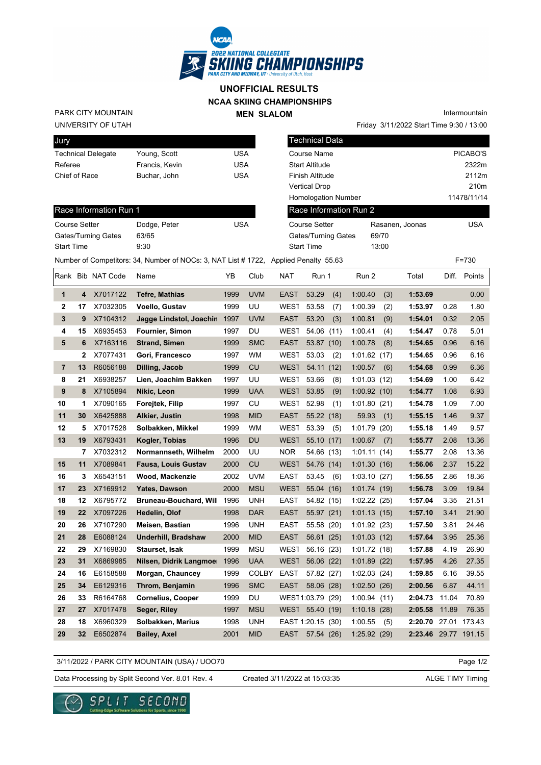

## **NCAA SKIING CHAMPIONSHIPS UNOFFICIAL RESULTS**

**MEN SLALOM** 

UNIVERSITY OF UTAH PARK CITY MOUNTAIN

| Jury                      |                |     |
|---------------------------|----------------|-----|
| <b>Technical Delegate</b> | Young, Scott   | USA |
| Referee                   | Francis, Kevin | USA |
| Chief of Race             | Buchar, John   | USA |
|                           |                |     |

| м                     | Intermountain                            |
|-----------------------|------------------------------------------|
|                       | Friday 3/11/2022 Start Time 9:30 / 13:00 |
| <b>Technical Data</b> |                                          |
| Course Name           | PICABO'S                                 |

| Referee              |    |                        | Francis, Kevin                                                                      | USA        |            |                 | <b>Start Altitude</b> |     |                        |       |                      |       | 2322m       |
|----------------------|----|------------------------|-------------------------------------------------------------------------------------|------------|------------|-----------------|-----------------------|-----|------------------------|-------|----------------------|-------|-------------|
| Chief of Race        |    |                        | Buchar, John                                                                        | <b>USA</b> |            |                 | Finish Altitude       |     |                        |       |                      |       | 2112m       |
|                      |    |                        |                                                                                     |            |            |                 | <b>Vertical Drop</b>  |     |                        |       |                      |       | 210m        |
|                      |    |                        |                                                                                     |            |            |                 | Homologation Number   |     |                        |       |                      |       | 11478/11/14 |
|                      |    | Race Information Run 1 |                                                                                     |            |            |                 |                       |     | Race Information Run 2 |       |                      |       |             |
| <b>Course Setter</b> |    |                        | Dodge, Peter                                                                        | <b>USA</b> |            |                 | Course Setter         |     |                        |       | Rasanen, Joonas      |       | <b>USA</b>  |
|                      |    | Gates/Turning Gates    | 63/65                                                                               |            |            |                 | Gates/Turning Gates   |     |                        | 69/70 |                      |       |             |
| <b>Start Time</b>    |    |                        | 9:30                                                                                |            |            |                 | <b>Start Time</b>     |     |                        | 13:00 |                      |       |             |
|                      |    |                        | Number of Competitors: 34, Number of NOCs: 3, NAT List #1722, Applied Penalty 55.63 |            |            |                 |                       |     |                        |       |                      |       | F=730       |
|                      |    | Rank Bib NAT Code      | Name                                                                                | YB         | Club       | NAT             | Run 1                 |     | Run 2                  |       | Total                | Diff. | Points      |
| $\mathbf 1$          | 4  | X7017122               | <b>Tefre, Mathias</b>                                                               | 1999       | <b>UVM</b> | <b>EAST</b>     | 53.29                 | (4) | 1:00.40                | (3)   | 1:53.69              |       | 0.00        |
| 2                    | 17 | X7032305               | Voello, Gustav                                                                      | 1999       | UU         | WES1            | 53.58                 | (7) | 1:00.39                | (2)   | 1:53.97              | 0.28  | 1.80        |
| 3                    | 9  | X7104312               | Jagge Lindstol, Joachin 1997                                                        |            | <b>UVM</b> | <b>EAST</b>     | 53.20                 | (3) | 1:00.81                | (9)   | 1:54.01              | 0.32  | 2.05        |
| 4                    | 15 | X6935453               | <b>Fournier, Simon</b>                                                              | 1997       | DU         | <b>WEST</b>     | 54.06 (11)            |     | 1:00.41                | (4)   | 1:54.47              | 0.78  | 5.01        |
| 5                    | 6  | X7163116               | <b>Strand, Simen</b>                                                                | 1999       | <b>SMC</b> | <b>EAST</b>     | 53.87 (10)            |     | 1:00.78                | (8)   | 1:54.65              | 0.96  | 6.16        |
|                      | 2  | X7077431               | Gori, Francesco                                                                     | 1997       | WM         | WES1            | 53.03                 | (2) | 1:01.62(17)            |       | 1:54.65              | 0.96  | 6.16        |
| $\overline{7}$       | 13 | R6056188               | Dilling, Jacob                                                                      | 1999       | CU         | <b>WEST</b>     | 54.11 (12)            |     | 1:00.57                | (6)   | 1:54.68              | 0.99  | 6.36        |
| 8                    | 21 | X6938257               | Lien, Joachim Bakken                                                                | 1997       | UU         | <b>WEST</b>     | 53.66                 | (8) | 1:01.03(12)            |       | 1:54.69              | 1.00  | 6.42        |
| 9                    | 8  | X7105894               | Nikic, Leon                                                                         | 1999       | <b>UAA</b> | <b>WEST</b>     | 53.85                 | (9) | 1:00.92(10)            |       | 1:54.77              | 1.08  | 6.93        |
| 10                   | 1  | X7090165               | Forejtek, Filip                                                                     | 1997       | CU         | <b>WEST</b>     | 52.98                 | (1) | 1:01.80(21)            |       | 1:54.78              | 1.09  | 7.00        |
| 11                   | 30 | X6425888               | Alkier, Justin                                                                      | 1998       | <b>MID</b> | <b>EAST</b>     | 55.22(18)             |     | 59.93                  | (1)   | 1:55.15              | 1.46  | 9.37        |
| 12                   | 5  | X7017528               | Solbakken, Mikkel                                                                   | 1999       | WM         | <b>WEST</b>     | 53.39                 | (5) | 1:01.79(20)            |       | 1:55.18              | 1.49  | 9.57        |
| 13                   | 19 | X6793431               | Kogler, Tobias                                                                      | 1996       | <b>DU</b>  | <b>WEST</b>     | 55.10 (17)            |     | 1:00.67                | (7)   | 1:55.77              | 2.08  | 13.36       |
|                      | 7  | X7032312               | Normannseth, Wilhelm                                                                | 2000       | UU         | NOR.            | 54.66 (13)            |     | 1:01.11(14)            |       | 1:55.77              | 2.08  | 13.36       |
| 15                   | 11 | X7089841               | <b>Fausa, Louis Gustav</b>                                                          | 2000       | CU         | <b>WEST</b>     | 54.76 (14)            |     | 1:01.30(16)            |       | 1:56.06              | 2.37  | 15.22       |
| 16                   | 3  | X6543151               | Wood, Mackenzie                                                                     | 2002       | <b>UVM</b> | <b>EAST</b>     | 53.45                 | (6) | 1:03.10(27)            |       | 1:56.55              | 2.86  | 18.36       |
| 17                   | 23 | X7169912               | <b>Yates, Dawson</b>                                                                | 2000       | <b>MSU</b> | <b>WEST</b>     | 55.04 (16)            |     | 1:01.74(19)            |       | 1:56.78              | 3.09  | 19.84       |
| 18                   | 12 | X6795772               | <b>Bruneau-Bouchard, Will</b>                                                       | 1996       | <b>UNH</b> | <b>EAST</b>     | 54.82 (15)            |     | 1:02.22(25)            |       | 1:57.04              | 3.35  | 21.51       |
| 19                   | 22 | X7097226               | Hedelin, Olof                                                                       | 1998       | <b>DAR</b> | <b>EAST</b>     | 55.97 (21)            |     | 1:01.13(15)            |       | 1:57.10              | 3.41  | 21.90       |
| 20                   | 26 | X7107290               | Meisen, Bastian                                                                     | 1996       | <b>UNH</b> | <b>EAST</b>     | 55.58 (20)            |     | 1:01.92(23)            |       | 1:57.50              | 3.81  | 24.46       |
| 21                   | 28 | E6088124               | <b>Underhill, Bradshaw</b>                                                          | 2000       | <b>MID</b> | <b>EAST</b>     | 56.61 (25)            |     | 1:01.03(12)            |       | 1:57.64              | 3.95  | 25.36       |
| 22                   | 29 | X7169830               | Staurset, Isak                                                                      | 1999       | <b>MSU</b> | <b>WEST</b>     | 56.16 (23)            |     | 1:01.72(18)            |       | 1:57.88              | 4.19  | 26.90       |
| 23                   | 31 | X6869985               | Nilsen, Didrik Langmoer                                                             | 1996       | <b>UAA</b> | <b>WEST</b>     | 56.06 (22)            |     | 1:01.89(22)            |       | 1:57.95              | 4.26  | 27.35       |
| 24                   | 16 | E6158588               | Morgan, Chauncey                                                                    | 1999       | COLBY      | EAST 57.82 (27) |                       |     | 1:02.03(24)            |       | 1:59.85              | 6.16  | 39.55       |
| 25                   | 34 | E6129316               | Throm, Benjamin                                                                     | 1996       | <b>SMC</b> | EAST            | 58.06 (28)            |     | 1:02.50(26)            |       | 2:00.56              | 6.87  | 44.11       |
| 26                   | 33 | R6164768               | <b>Cornelius, Cooper</b>                                                            | 1999       | DU         |                 | WEST1:03.79 (29)      |     | 1:00.94(11)            |       | 2:04.73              | 11.04 | 70.89       |
| 27                   | 27 | X7017478               | Seger, Riley                                                                        | 1997       | <b>MSU</b> |                 | WEST 55.40 (19)       |     | 1:10.18(28)            |       | 2:05.58              | 11.89 | 76.35       |
| 28                   | 18 | X6960329               | Solbakken, Marius                                                                   | 1998       | <b>UNH</b> |                 | EAST 1:20.15 (30)     |     | 1:00.55                | (5)   | 2:20.70 27.01 173.43 |       |             |
| 29                   | 32 | E6502874               | <b>Bailey, Axel</b>                                                                 | 2001       | <b>MID</b> | EAST            | 57.54 (26)            |     | 1:25.92(29)            |       | 2:23.46 29.77 191.15 |       |             |
|                      |    |                        |                                                                                     |            |            |                 |                       |     |                        |       |                      |       |             |

3/11/2022 / PARK CITY MOUNTAIN (USA) / UOO70

Page 1/2

Data Processing by Split Second Ver. 8.01 Rev. 4 Created 3/11/2022 at 15:03:35 ALGE TIMY Timing

Created 3/11/2022 at 15:03:35